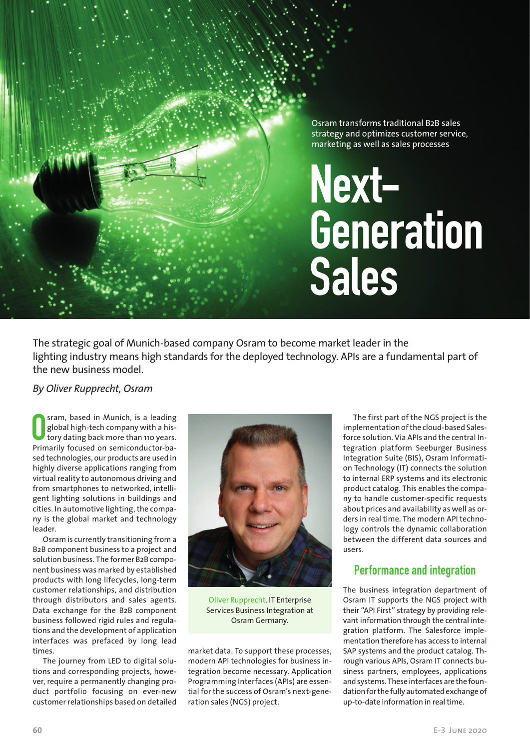Osram transforms traditional B2B sales strategy and optimizes customer service, marketing as well as sales processes

# **Next-Generation Sales**

The strategic goal of Munich-based company Osram to become market leader in the lighting industry means high standards for the deployed technology. APIs are a fundamental part of the new business model.

MANAGEMENT PAGINA ANG PAGINA PAGINA ANG PAGINA PAGINA ANG PAGINA Ang Pagina at ang pagina at ang pagina at ang

#### *By Oliver Rupprecht, Osram*

**O Stam, based in Munich, is a leading global high-tech company with a history dating back more than 110 years.<br>Primarily focused on semiconductor-ba**sram, based in Munich, is a leading global high-tech company with a history dating back more than 110 years. sed technologies, our products are used in highly diverse applications ranging from virtual reality to autonomous driving and from smartphones to networked, intelligent lighting solutions in buildings and cities. In automotive lighting, the company is the global market and technology leader.

Osram is currently transitioning from a B2B component business to a project and solution business. The former B2B component business was marked by established products with long lifecycles, long-term customer relationships, and distribution through distributors and sales agents. Data exchange for the B2B component business followed rigid rules and regulations and the development of application interfaces was prefaced by long lead times.

The journey from LED to digital solutions and corresponding projects, however, require a permanently changing product portfolio focusing on ever-new customer relationships based on detailed



Oliver Rupprecht, IT Enterprise Services Business Integration at Osram Germany.

market data. To support these processes, modern API technologies for business integration become necessary. Application Programming Interfaces (APIs) are essential for the success of Osram's next-generation sales (NGS) project.

The first part of the NGS project is the implementation of the cloud-based Salesforce solution. Via APIs and the central Integration platform Seeburger Business Integration Suite (BIS), Osram Information Technology (IT) connects the solution to internal ERP systems and its electronic product catalog. This enables the company to handle customer-specific requests about prices and availability as well as orders in real time. The modern API technology controls the dynamic collaboration between the different data sources and users.

## **Performance and integration**

The business integration department of Osram IT supports the NGS project with their "API First" strategy by providing relevant information through the central integration platform. The Salesforce implementation therefore has access to internal SAP systems and the product catalog. Through various APIs, Osram IT connects business partners, employees, applications and systems. These interfaces are the foundation for the fully automated exchange of up-to-date information in real time.